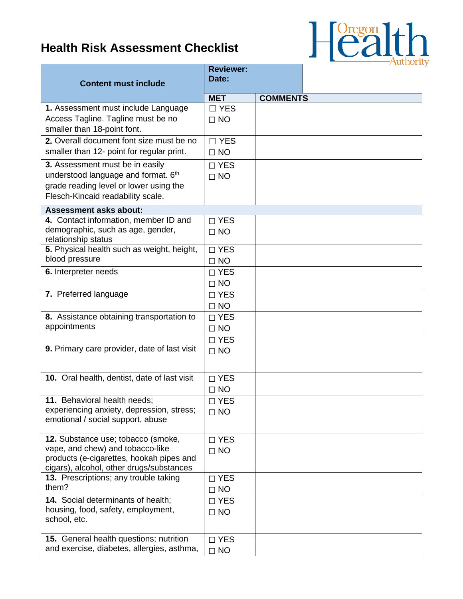## **Health Risk Assessment Checklist**



| <b>Content must include</b>                                                                                                                                       | <b>Reviewer:</b><br>Date:  |                 |  |
|-------------------------------------------------------------------------------------------------------------------------------------------------------------------|----------------------------|-----------------|--|
|                                                                                                                                                                   | <b>MET</b>                 | <b>COMMENTS</b> |  |
| 1. Assessment must include Language<br>Access Tagline. Tagline must be no<br>smaller than 18-point font.                                                          | $\Box$ YES<br>$\Box$ NO    |                 |  |
| 2. Overall document font size must be no<br>smaller than 12- point for regular print.                                                                             | $\Box$ YES<br>$\Box$ NO    |                 |  |
| 3. Assessment must be in easily<br>understood language and format. 6 <sup>th</sup><br>grade reading level or lower using the<br>Flesch-Kincaid readability scale. | $\Box$ YES<br>$\Box$ NO    |                 |  |
| <b>Assessment asks about:</b>                                                                                                                                     |                            |                 |  |
| 4. Contact information, member ID and<br>demographic, such as age, gender,<br>relationship status                                                                 | $\Box$ YES<br>$\Box$ NO    |                 |  |
| 5. Physical health such as weight, height,<br>blood pressure                                                                                                      | $\Box$ YES<br>$\Box$ NO    |                 |  |
| 6. Interpreter needs                                                                                                                                              | $\Box$ YES<br>$\Box$ NO    |                 |  |
| 7. Preferred language                                                                                                                                             | $\Box$ YES<br>$\Box$ NO    |                 |  |
| 8. Assistance obtaining transportation to<br>appointments                                                                                                         | $\Box$ YES<br>$\Box$ NO    |                 |  |
| 9. Primary care provider, date of last visit                                                                                                                      | $\Box$ YES<br>$\Box$ NO    |                 |  |
| 10. Oral health, dentist, date of last visit                                                                                                                      | $\Box$ YES<br>$\Box$ NO    |                 |  |
| 11. Behavioral health needs;<br>experiencing anxiety, depression, stress;<br>emotional / social support, abuse                                                    | $\square$ YES<br>$\Box$ NO |                 |  |
| 12. Substance use; tobacco (smoke,<br>vape, and chew) and tobacco-like<br>products (e-cigarettes, hookah pipes and<br>cigars), alcohol, other drugs/substances    | $\Box$ YES<br>$\Box$ NO    |                 |  |
| 13. Prescriptions; any trouble taking<br>them?                                                                                                                    | $\square$ YES<br>$\Box$ NO |                 |  |
| 14. Social determinants of health;<br>housing, food, safety, employment,<br>school, etc.                                                                          | $\square$ YES<br>$\Box$ NO |                 |  |
| 15. General health questions; nutrition<br>and exercise, diabetes, allergies, asthma,                                                                             | $\Box$ YES<br>$\Box$ NO    |                 |  |